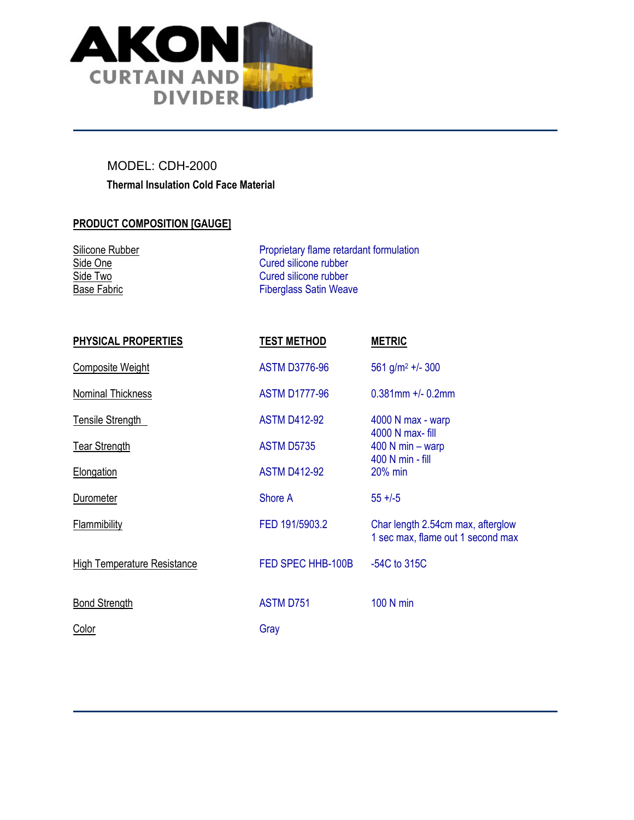

## Thermal Insulation Cold Face Material MODEL: CDH-2000

## PRODUCT COMPOSITION [GAUGE]

| Silicone Rubber | Proprietary flame retardant formulation |  |
|-----------------|-----------------------------------------|--|
| Side One        | Cured silicone rubber                   |  |
| Side Two        | Cured silicone rubber                   |  |
| Base Fabric     | <b>Fiberglass Satin Weave</b>           |  |

| <b>PHYSICAL PROPERTIES</b>         | <b>TEST METHOD</b>   | <b>METRIC</b>                                                          |
|------------------------------------|----------------------|------------------------------------------------------------------------|
| <b>Composite Weight</b>            | <b>ASTM D3776-96</b> | 561 g/m <sup>2</sup> +/- 300                                           |
| Nominal Thickness                  | <b>ASTM D1777-96</b> | $0.381$ mm +/- $0.2$ mm                                                |
| <b>Tensile Strength</b>            | <b>ASTM D412-92</b>  | 4000 N max - warp<br>4000 N max- fill                                  |
| <b>Tear Strength</b>               | <b>ASTM D5735</b>    | $400$ N min – warp<br>400 N min - fill                                 |
| Elongation                         | <b>ASTM D412-92</b>  | 20% min                                                                |
| <b>Durometer</b>                   | Shore A              | $55 + (-5)$                                                            |
| <b>Flammibility</b>                | FED 191/5903.2       | Char length 2.54cm max, afterglow<br>1 sec max, flame out 1 second max |
| <b>High Temperature Resistance</b> | FED SPEC HHB-100B    | $-54C$ to 315C                                                         |
| <b>Bond Strength</b>               | <b>ASTM D751</b>     | 100 N min                                                              |
| Color                              | Gray                 |                                                                        |